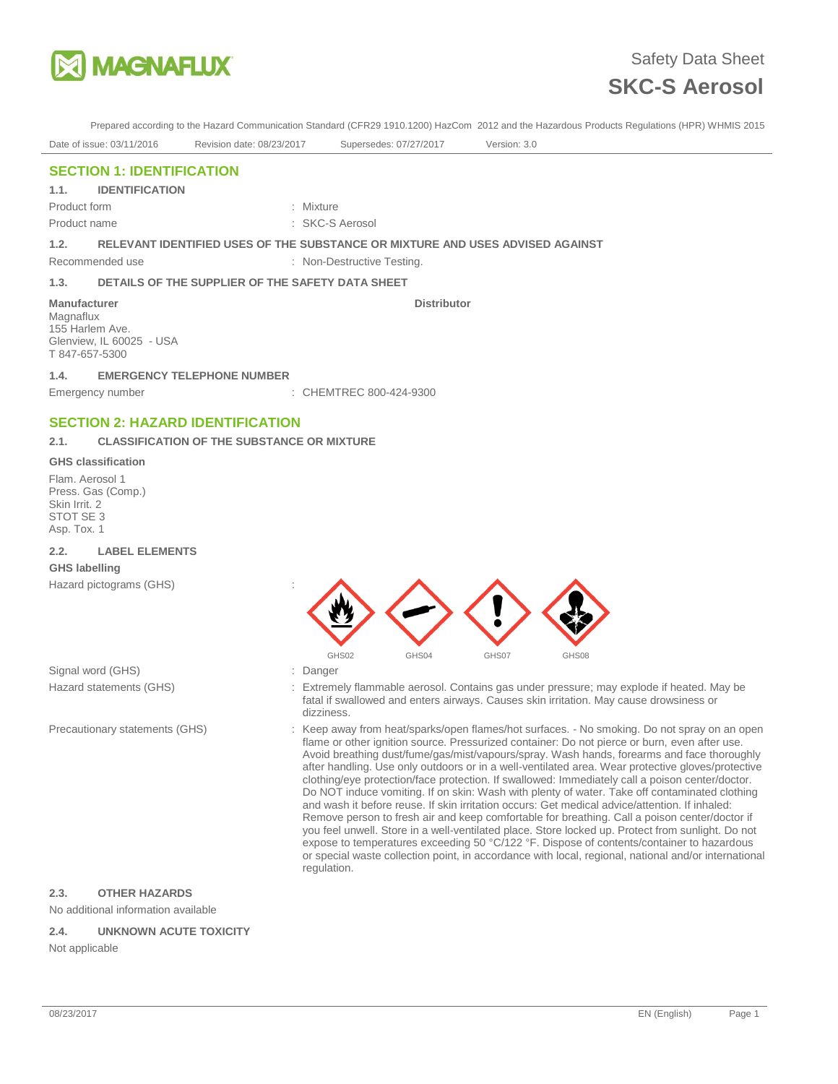

Prepared according to the Hazard Communication Standard (CFR29 1910.1200) HazCom 2012 and the Hazardous Products Regulations (HPR) WHMIS 2015

Date of issue: 03/11/2016 Revision date: 08/23/2017 Supersedes: 07/27/2017 Version: 3.0

**Distributor** 

# **SECTION 1: IDENTIFICATION**

### **1.1. IDENTIFICATION**

Product form **: Mixture** Product name : SKC-S Aerosol

### **1.2. RELEVANT IDENTIFIED USES OF THE SUBSTANCE OR MIXTURE AND USES ADVISED AGAINST**

Recommended use : Non-Destructive Testing.

### **1.3. DETAILS OF THE SUPPLIER OF THE SAFETY DATA SHEET**

#### **Manufacturer**

Magnaflux 155 Harlem Ave. Glenview, IL 60025 - USA T 847-657-5300

### **1.4. EMERGENCY TELEPHONE NUMBER**

Emergency number : CHEMTREC 800-424-9300

# **SECTION 2: HAZARD IDENTIFICATION**

### **2.1. CLASSIFICATION OF THE SUBSTANCE OR MIXTURE**

#### **GHS classification**

Flam. Aerosol 1 Press. Gas (Comp.) Skin Irrit. 2 STOT SE 3 Asp. Tox. 1

### **2.2. LABEL ELEMENTS GHS labelling**

Hazard pictograms (GHS) :

Signal word (GHS) **in the set of the Signal word (GHS)** and the set of the set of the Signal word (GHS)



- 
- Hazard statements (GHS) : Extremely flammable aerosol. Contains gas under pressure; may explode if heated. May be fatal if swallowed and enters airways. Causes skin irritation. May cause drowsiness or dizziness.
- Precautionary statements (GHS) : Keep away from heat/sparks/open flames/hot surfaces. No smoking. Do not spray on an open flame or other ignition source. Pressurized container: Do not pierce or burn, even after use. Avoid breathing dust/fume/gas/mist/vapours/spray. Wash hands, forearms and face thoroughly after handling. Use only outdoors or in a well-ventilated area. Wear protective gloves/protective clothing/eye protection/face protection. If swallowed: Immediately call a poison center/doctor. Do NOT induce vomiting. If on skin: Wash with plenty of water. Take off contaminated clothing and wash it before reuse. If skin irritation occurs: Get medical advice/attention. If inhaled: Remove person to fresh air and keep comfortable for breathing. Call a poison center/doctor if you feel unwell. Store in a well-ventilated place. Store locked up. Protect from sunlight. Do not expose to temperatures exceeding 50 °C/122 °F. Dispose of contents/container to hazardous or special waste collection point, in accordance with local, regional, national and/or international regulation.

# **2.3. OTHER HAZARDS**

No additional information available

### **2.4. UNKNOWN ACUTE TOXICITY**

Not applicable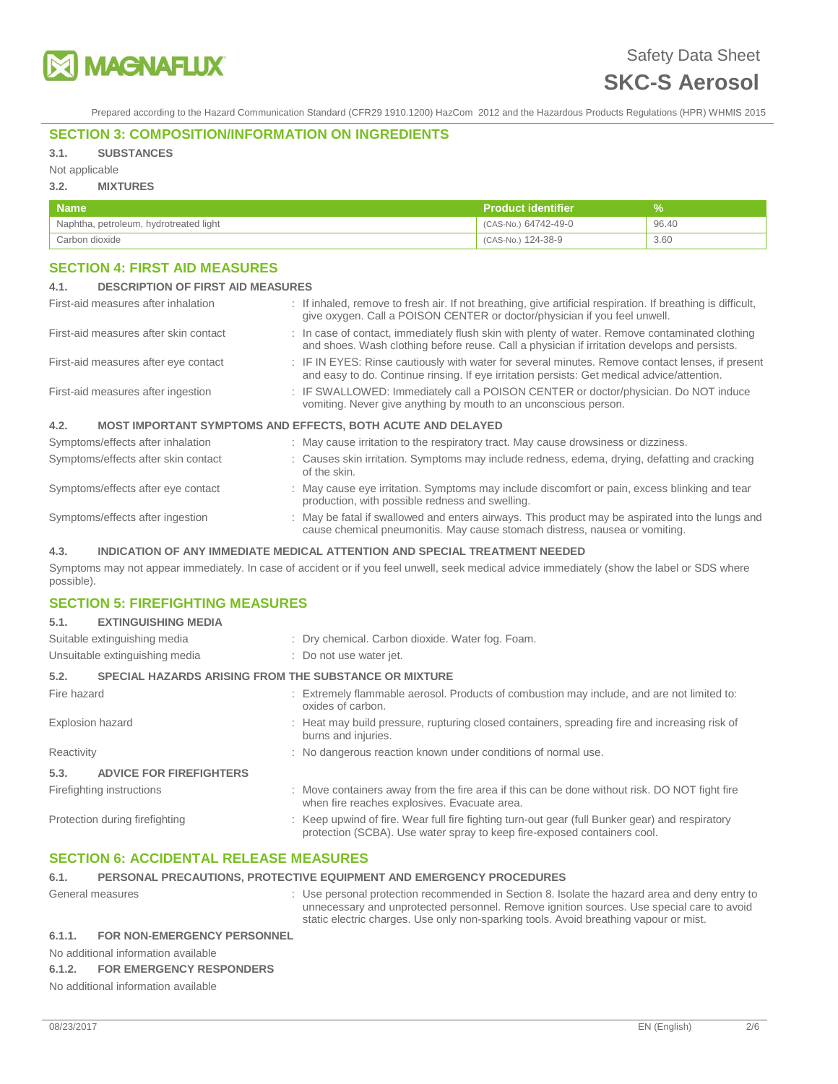

Prepared according to the Hazard Communication Standard (CFR29 1910.1200) HazCom 2012 and the Hazardous Products Regulations (HPR) WHMIS 2015

# **SECTION 3: COMPOSITION/INFORMATION ON INGREDIENTS**

# **3.1. SUBSTANCES**

Not applicable

# **3.2. MIXTURES**

| <b>Name</b>                            | <b>Product identifier</b> |       |
|----------------------------------------|---------------------------|-------|
| Naphtha, petroleum, hydrotreated light | (CAS-No.) 64742-49-0      | 96.40 |
| Carbon dioxide                         | (CAS-No.) 124-38-9        | 3.60  |

# **SECTION 4: FIRST AID MEASURES**

| <b>DESCRIPTION OF FIRST AID MEASURES</b><br>4.1.                              |                                                                                                                                                                                                 |
|-------------------------------------------------------------------------------|-------------------------------------------------------------------------------------------------------------------------------------------------------------------------------------------------|
| First-aid measures after inhalation                                           | : If inhaled, remove to fresh air. If not breathing, give artificial respiration. If breathing is difficult,<br>give oxygen. Call a POISON CENTER or doctor/physician if you feel unwell.       |
| First-aid measures after skin contact                                         | : In case of contact, immediately flush skin with plenty of water. Remove contaminated clothing<br>and shoes. Wash clothing before reuse. Call a physician if irritation develops and persists. |
| First-aid measures after eye contact                                          | : IF IN EYES: Rinse cautiously with water for several minutes. Remove contact lenses, if present<br>and easy to do. Continue rinsing. If eye irritation persists: Get medical advice/attention. |
| First-aid measures after ingestion                                            | : IF SWALLOWED: Immediately call a POISON CENTER or doctor/physician. Do NOT induce<br>vomiting. Never give anything by mouth to an unconscious person.                                         |
| 4.2.                                                                          | <b>MOST IMPORTANT SYMPTOMS AND EFFECTS, BOTH ACUTE AND DELAYED</b>                                                                                                                              |
| Symptoms/effects after inhalation                                             | : May cause irritation to the respiratory tract. May cause drowsiness or dizziness.                                                                                                             |
| Symptoms/effects after skin contact                                           | : Causes skin irritation. Symptoms may include redness, edema, drying, defatting and cracking<br>of the skin.                                                                                   |
| Symptoms/effects after eye contact                                            | : May cause eye irritation. Symptoms may include discomfort or pain, excess blinking and tear<br>production, with possible redness and swelling.                                                |
| Symptoms/effects after ingestion                                              | : May be fatal if swallowed and enters airways. This product may be aspirated into the lungs and<br>cause chemical pneumonitis. May cause stomach distress, nausea or vomiting.                 |
| 4.3.                                                                          | INDICATION OF ANY IMMEDIATE MEDICAL ATTENTION AND SPECIAL TREATMENT NEEDED                                                                                                                      |
| possible).                                                                    | Symptoms may not appear immediately. In case of accident or if you feel unwell, seek medical advice immediately (show the label or SDS where                                                    |
| <b>SECTION 5: FIREFIGHTING MEASURES</b><br>5.1.<br><b>EXTINGUISHING MEDIA</b> |                                                                                                                                                                                                 |

| Suitable extinguishing media                                         | : Dry chemical. Carbon dioxide. Water fog. Foam.                                                                                                                            |
|----------------------------------------------------------------------|-----------------------------------------------------------------------------------------------------------------------------------------------------------------------------|
| Unsuitable extinguishing media                                       | : Do not use water jet.                                                                                                                                                     |
| 5.2.<br><b>SPECIAL HAZARDS ARISING FROM THE SUBSTANCE OR MIXTURE</b> |                                                                                                                                                                             |
| Fire hazard                                                          | : Extremely flammable aerosol. Products of combustion may include, and are not limited to:<br>oxides of carbon.                                                             |
| Explosion hazard                                                     | : Heat may build pressure, rupturing closed containers, spreading fire and increasing risk of<br>burns and injuries.                                                        |
| Reactivity                                                           | : No dangerous reaction known under conditions of normal use.                                                                                                               |
| 5.3.<br><b>ADVICE FOR FIREFIGHTERS</b>                               |                                                                                                                                                                             |
| Firefighting instructions                                            | : Move containers away from the fire area if this can be done without risk. DO NOT fight fire<br>when fire reaches explosives. Evacuate area.                               |
| Protection during firefighting                                       | : Keep upwind of fire. Wear full fire fighting turn-out gear (full Bunker gear) and respiratory<br>protection (SCBA). Use water spray to keep fire-exposed containers cool. |

# **SECTION 6: ACCIDENTAL RELEASE MEASURES**

| 6.1. | PERSONAL PRECAUTIONS. PROTECTIVE EQUIPMENT AND EMERGENCY PROCEDURES |  |                                                                                                                                                                                            |
|------|---------------------------------------------------------------------|--|--------------------------------------------------------------------------------------------------------------------------------------------------------------------------------------------|
|      | General measures                                                    |  | : Use personal protection recommended in Section 8. Isolate the hazard area and deny entry to<br>unnecessary and unprotected personnel. Remove ignition sources. Use special care to avoid |
|      |                                                                     |  | static electric charges. Use only non-sparking tools. Avoid breathing vapour or mist.                                                                                                      |

# **6.1.1. FOR NON-EMERGENCY PERSONNEL**

No additional information available

### **6.1.2. FOR EMERGENCY RESPONDERS**

No additional information available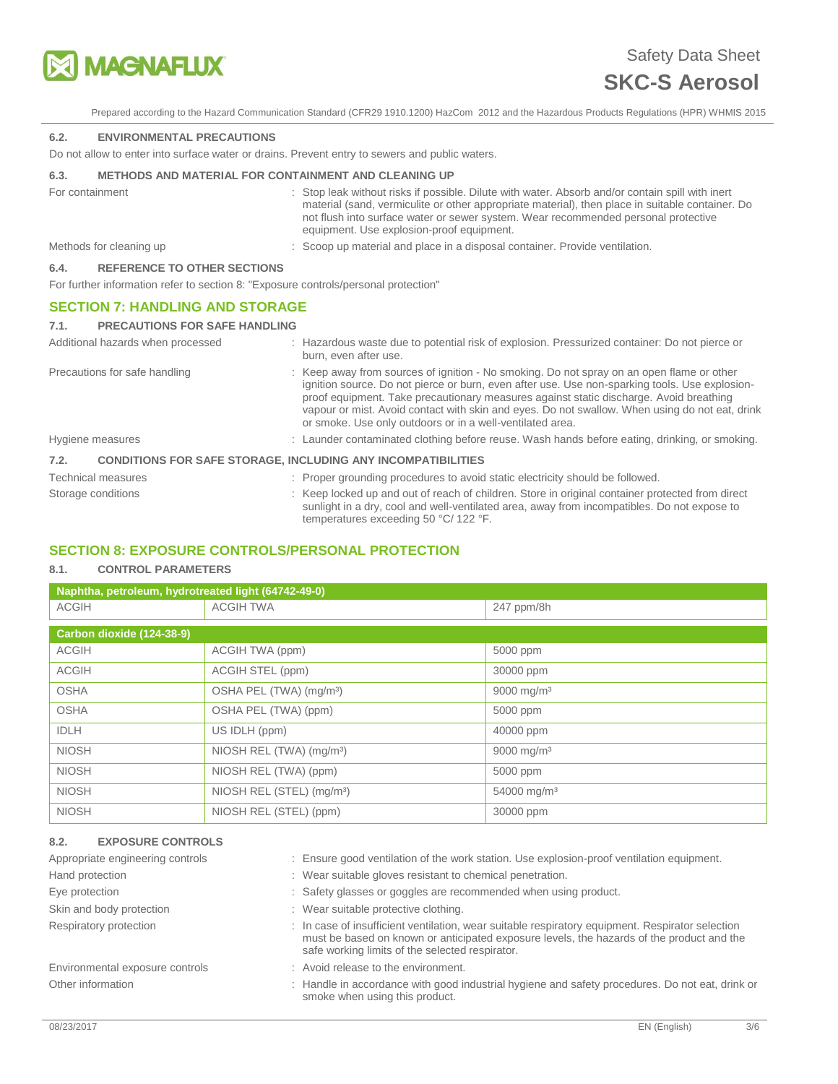

Prepared according to the Hazard Communication Standard (CFR29 1910.1200) HazCom 2012 and the Hazardous Products Regulations (HPR) WHMIS 2015

### **6.2. ENVIRONMENTAL PRECAUTIONS**

Do not allow to enter into surface water or drains. Prevent entry to sewers and public waters.

### **6.3. METHODS AND MATERIAL FOR CONTAINMENT AND CLEANING UP**

| For containment |                                    | : Stop leak without risks if possible. Dilute with water. Absorb and/or contain spill with inert<br>material (sand, vermiculite or other appropriate material), then place in suitable container. Do<br>not flush into surface water or sewer system. Wear recommended personal protective<br>equipment. Use explosion-proof equipment. |
|-----------------|------------------------------------|-----------------------------------------------------------------------------------------------------------------------------------------------------------------------------------------------------------------------------------------------------------------------------------------------------------------------------------------|
|                 | Methods for cleaning up            | : Scoop up material and place in a disposal container. Provide ventilation.                                                                                                                                                                                                                                                             |
| 6.4.            | <b>REFERENCE TO OTHER SECTIONS</b> |                                                                                                                                                                                                                                                                                                                                         |

For further information refer to section 8: "Exposure controls/personal protection"

### **SECTION 7: HANDLING AND STORAGE**

| <b>PRECAUTIONS FOR SAFE HANDLING</b><br>7.1. |                                                                                                                                                                                                                                                                                                                                                                                                                                                      |
|----------------------------------------------|------------------------------------------------------------------------------------------------------------------------------------------------------------------------------------------------------------------------------------------------------------------------------------------------------------------------------------------------------------------------------------------------------------------------------------------------------|
| Additional hazards when processed            | : Hazardous waste due to potential risk of explosion. Pressurized container: Do not pierce or<br>burn, even after use.                                                                                                                                                                                                                                                                                                                               |
| Precautions for safe handling                | : Keep away from sources of ignition - No smoking. Do not spray on an open flame or other<br>ignition source. Do not pierce or burn, even after use. Use non-sparking tools. Use explosion-<br>proof equipment. Take precautionary measures against static discharge. Avoid breathing<br>vapour or mist. Avoid contact with skin and eyes. Do not swallow. When using do not eat, drink<br>or smoke. Use only outdoors or in a well-ventilated area. |
| Hygiene measures                             | : Launder contaminated clothing before reuse. Wash hands before eating, drinking, or smoking.                                                                                                                                                                                                                                                                                                                                                        |
| 7.2.                                         | <b>CONDITIONS FOR SAFE STORAGE. INCLUDING ANY INCOMPATIBILITIES</b>                                                                                                                                                                                                                                                                                                                                                                                  |
| <b>Technical measures</b>                    | : Proper grounding procedures to avoid static electricity should be followed.                                                                                                                                                                                                                                                                                                                                                                        |
| Storage conditions                           | : Keep locked up and out of reach of children. Store in original container protected from direct<br>sunlight in a dry, cool and well-ventilated area, away from incompatibles. Do not expose to<br>temperatures exceeding 50 °C/ 122 °F.                                                                                                                                                                                                             |

# **SECTION 8: EXPOSURE CONTROLS/PERSONAL PROTECTION**

### **8.1. CONTROL PARAMETERS**

| Naphtha, petroleum, hydrotreated light (64742-49-0) |                                       |                         |  |  |
|-----------------------------------------------------|---------------------------------------|-------------------------|--|--|
| <b>ACGIH</b>                                        | <b>ACGIH TWA</b>                      | 247 ppm/8h              |  |  |
|                                                     |                                       |                         |  |  |
| Carbon dioxide (124-38-9)                           |                                       |                         |  |  |
| <b>ACGIH</b>                                        | ACGIH TWA (ppm)                       | 5000 ppm                |  |  |
| <b>ACGIH</b>                                        | ACGIH STEL (ppm)                      | 30000 ppm               |  |  |
| <b>OSHA</b>                                         | OSHA PEL (TWA) (mg/m <sup>3</sup> )   | 9000 mg/m <sup>3</sup>  |  |  |
| <b>OSHA</b>                                         | OSHA PEL (TWA) (ppm)                  | 5000 ppm                |  |  |
| <b>IDLH</b>                                         | US IDLH (ppm)                         | 40000 ppm               |  |  |
| <b>NIOSH</b>                                        | NIOSH REL (TWA) (mg/m <sup>3</sup> )  | 9000 mg/m <sup>3</sup>  |  |  |
| <b>NIOSH</b>                                        | NIOSH REL (TWA) (ppm)                 | 5000 ppm                |  |  |
| <b>NIOSH</b>                                        | NIOSH REL (STEL) (mg/m <sup>3</sup> ) | 54000 mg/m <sup>3</sup> |  |  |
| <b>NIOSH</b>                                        | NIOSH REL (STEL) (ppm)                | 30000 ppm               |  |  |

# **8.2. EXPOSURE CONTROLS**  Appropriate engineering controls : Ensure good ventilation of the work station. Use explosion-proof ventilation equipment. Hand protection : Wear suitable gloves resistant to chemical penetration. Eye protection **interest and the Safety glasses or goggles are recommended when using product.** Skin and body protection **interest and set of the set of the set of the set of the set of the set of the set of the set of the set of the set of the set of the set of the set of the set of the set of the set of the set of** Respiratory protection : In case of insufficient ventilation, wear suitable respiratory equipment. Respirator selection must be based on known or anticipated exposure levels, the hazards of the product and the safe working limits of the selected respirator. Environmental exposure controls : Avoid release to the environment.

Other information **interval on the interval of the industrial** hygiene and safety procedures. Do not eat, drink or smoke when using this product.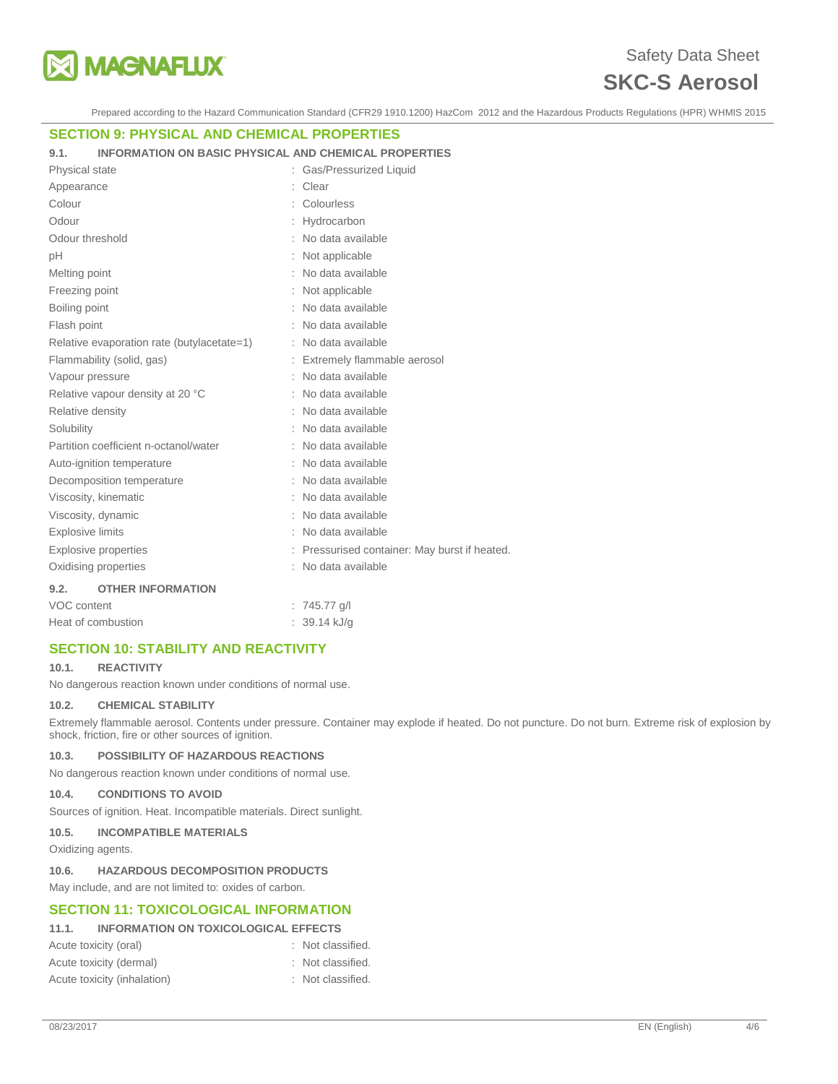

Prepared according to the Hazard Communication Standard (CFR29 1910.1200) HazCom 2012 and the Hazardous Products Regulations (HPR) WHMIS 2015

# **SECTION 9: PHYSICAL AND CHEMICAL PROPERTIES**

**9.1. INFORMATION ON BASIC PHYSICAL AND CHEMICAL PROPERTIES** 

| Physical state                             | : Gas/Pressurized Liquid                      |
|--------------------------------------------|-----------------------------------------------|
| Appearance                                 | Clear                                         |
| Colour                                     | Colourless                                    |
| Odour                                      | Hydrocarbon                                   |
| Odour threshold                            | : No data available                           |
| рH                                         | Not applicable                                |
| Melting point                              | No data available                             |
| Freezing point                             | Not applicable                                |
| Boiling point                              | No data available                             |
| Flash point                                | No data available                             |
| Relative evaporation rate (butylacetate=1) | No data available                             |
| Flammability (solid, gas)                  | Extremely flammable aerosol                   |
| Vapour pressure                            | No data available                             |
| Relative vapour density at 20 °C           | : No data available                           |
| Relative density                           | No data available                             |
| Solubility                                 | No data available                             |
| Partition coefficient n-octanol/water      | No data available                             |
| Auto-ignition temperature                  | : No data available                           |
| Decomposition temperature                  | No data available                             |
| Viscosity, kinematic                       | No data available                             |
| Viscosity, dynamic                         | No data available                             |
| <b>Explosive limits</b>                    | : No data available                           |
| Explosive properties                       | : Pressurised container: May burst if heated. |
| Oxidising properties                       | No data available                             |
| 9.2.<br><b>OTHER INFORMATION</b>           |                                               |
| VOC content                                | $: 745.77$ g/l                                |
| Heat of combustion                         | 39.14 kJ/g                                    |

# **SECTION 10: STABILITY AND REACTIVITY**

### **10.1. REACTIVITY**

No dangerous reaction known under conditions of normal use.

### **10.2. CHEMICAL STABILITY**

Extremely flammable aerosol. Contents under pressure. Container may explode if heated. Do not puncture. Do not burn. Extreme risk of explosion by shock, friction, fire or other sources of ignition.

### **10.3. POSSIBILITY OF HAZARDOUS REACTIONS**

No dangerous reaction known under conditions of normal use.

#### **10.4. CONDITIONS TO AVOID**

Sources of ignition. Heat. Incompatible materials. Direct sunlight.

### **10.5. INCOMPATIBLE MATERIALS**

Oxidizing agents.

#### **10.6. HAZARDOUS DECOMPOSITION PRODUCTS**

May include, and are not limited to: oxides of carbon.

# **SECTION 11: TOXICOLOGICAL INFORMATION**

# **11.1. INFORMATION ON TOXICOLOGICAL EFFECTS**

| Acute toxicity (oral)       | : Not classified. |
|-----------------------------|-------------------|
| Acute toxicity (dermal)     | : Not classified. |
| Acute toxicity (inhalation) | : Not classified. |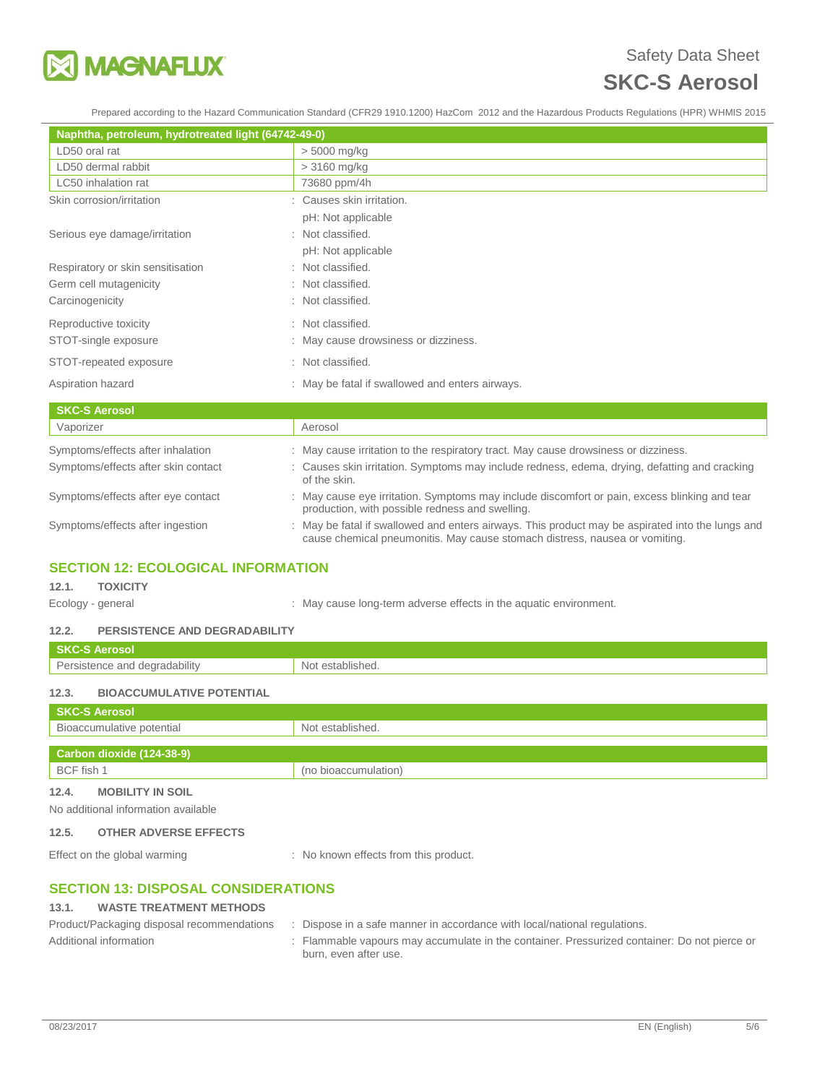

Prepared according to the Hazard Communication Standard (CFR29 1910.1200) HazCom 2012 and the Hazardous Products Regulations (HPR) WHMIS 2015

| Naphtha, petroleum, hydrotreated light (64742-49-0) |                                                 |
|-----------------------------------------------------|-------------------------------------------------|
| LD50 oral rat                                       | $> 5000$ mg/kg                                  |
| LD50 dermal rabbit                                  | $>3160$ mg/kg                                   |
| LC50 inhalation rat                                 | 73680 ppm/4h                                    |
| Skin corrosion/irritation                           | : Causes skin irritation.                       |
|                                                     | pH: Not applicable                              |
| Serious eye damage/irritation                       | : Not classified.                               |
|                                                     | pH: Not applicable                              |
| Respiratory or skin sensitisation                   | : Not classified.                               |
| Germ cell mutagenicity                              | : Not classified.                               |
| Carcinogenicity                                     | : Not classified.                               |
| Reproductive toxicity                               | : Not classified.                               |
| STOT-single exposure                                | : May cause drowsiness or dizziness.            |
| STOT-repeated exposure                              | : Not classified.                               |
| Aspiration hazard                                   | : May be fatal if swallowed and enters airways. |
| <b>SKC-S Aerosol</b>                                |                                                 |
| Vaporizer                                           | Aerosol                                         |

| vaporizer                           | Aerosol                                                                                                                                                                         |
|-------------------------------------|---------------------------------------------------------------------------------------------------------------------------------------------------------------------------------|
| Symptoms/effects after inhalation   | : May cause irritation to the respiratory tract. May cause drowsiness or dizziness.                                                                                             |
| Symptoms/effects after skin contact | : Causes skin irritation. Symptoms may include redness, edema, drying, defatting and cracking<br>of the skin.                                                                   |
| Symptoms/effects after eye contact  | : May cause eye irritation. Symptoms may include discomfort or pain, excess blinking and tear<br>production, with possible redness and swelling.                                |
| Symptoms/effects after ingestion    | : May be fatal if swallowed and enters airways. This product may be aspirated into the lungs and<br>cause chemical pneumonitis. May cause stomach distress, nausea or vomiting. |
|                                     |                                                                                                                                                                                 |

# **SECTION 12: ECOLOGICAL INFORMATION**

**12.1. TOXICITY** 

Ecology - general **Ecology** - general  $\cdot$  May cause long-term adverse effects in the aquatic environment.

### **12.2. PERSISTENCE AND DEGRADABILITY**

| <b>SKC-S Aerosol</b>                      |                      |  |
|-------------------------------------------|----------------------|--|
| Persistence and degradability             | Not established.     |  |
| 12.3.<br><b>BIOACCUMULATIVE POTENTIAL</b> |                      |  |
| <b>SKC-S Aerosol</b>                      |                      |  |
| Bioaccumulative potential                 | Not established.     |  |
|                                           |                      |  |
| Carbon dioxide (124-38-9)                 |                      |  |
| BCF fish 1                                | (no bioaccumulation) |  |
| 12.4.<br><b>MOBILITY IN SOIL</b>          |                      |  |
| No additional information available       |                      |  |

### **12.5. OTHER ADVERSE EFFECTS**

Effect on the global warming : No known effects from this product.

# **SECTION 13: DISPOSAL CONSIDERATIONS**

# **13.1. WASTE TREATMENT METHODS**

| Product/Packaging disposal recommendations | Dispose in a safe manner in accordance with local/national regulations.                                               |
|--------------------------------------------|-----------------------------------------------------------------------------------------------------------------------|
| Additional information                     | : Flammable vapours may accumulate in the container. Pressurized container: Do not pierce or<br>burn, even after use. |